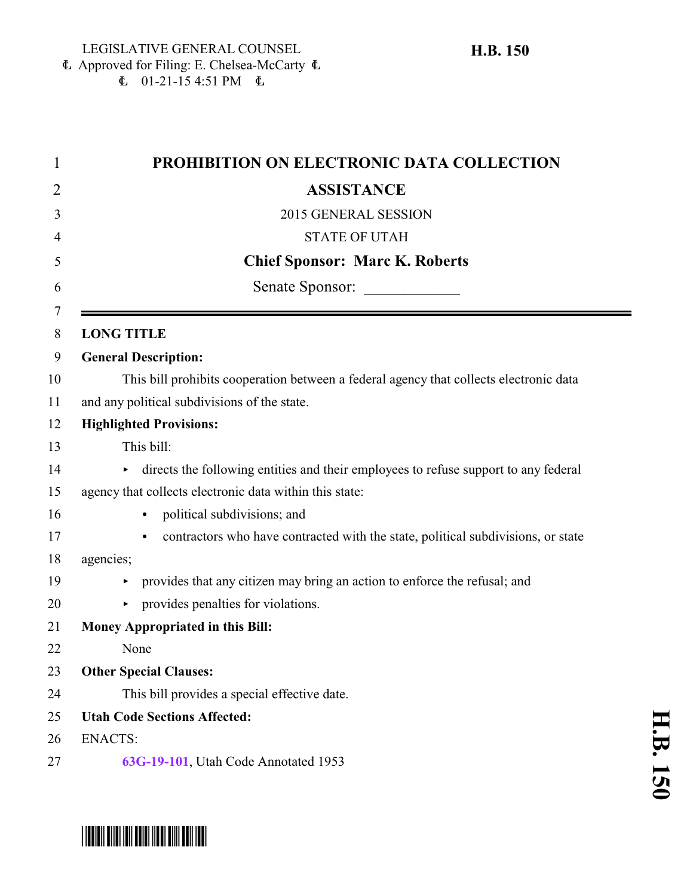Approved for Filing: E. Chelsea-McCarty 6  $\mathbf{E}$  01-21-15 4:51 PM  $\mathbf{E}$ 

| $\mathbf 1$ | PROHIBITION ON ELECTRONIC DATA COLLECTION                                              |
|-------------|----------------------------------------------------------------------------------------|
| 2           | <b>ASSISTANCE</b>                                                                      |
| 3           | 2015 GENERAL SESSION                                                                   |
| 4           | <b>STATE OF UTAH</b>                                                                   |
| 5           | <b>Chief Sponsor: Marc K. Roberts</b>                                                  |
| 6           | Senate Sponsor:                                                                        |
| 7<br>8      | <b>LONG TITLE</b>                                                                      |
| 9           | <b>General Description:</b>                                                            |
| 10          | This bill prohibits cooperation between a federal agency that collects electronic data |
| 11          | and any political subdivisions of the state.                                           |
| 12          | <b>Highlighted Provisions:</b>                                                         |
| 13          | This bill:                                                                             |
| 14          | directs the following entities and their employees to refuse support to any federal    |
| 15          | agency that collects electronic data within this state:                                |
| 16          | political subdivisions; and                                                            |
| 17          | contractors who have contracted with the state, political subdivisions, or state       |
| 18          | agencies;                                                                              |
| 19          | provides that any citizen may bring an action to enforce the refusal; and              |
| 20          | provides penalties for violations.                                                     |
| 21          | Money Appropriated in this Bill:                                                       |
| 22          | None                                                                                   |
| 23          | <b>Other Special Clauses:</b>                                                          |
| 24          | This bill provides a special effective date.                                           |
| 25          | <b>Utah Code Sections Affected:</b>                                                    |
| 26          | <b>ENACTS:</b>                                                                         |
| 27          | 63G-19-101, Utah Code Annotated 1953                                                   |

## \*HB0150\*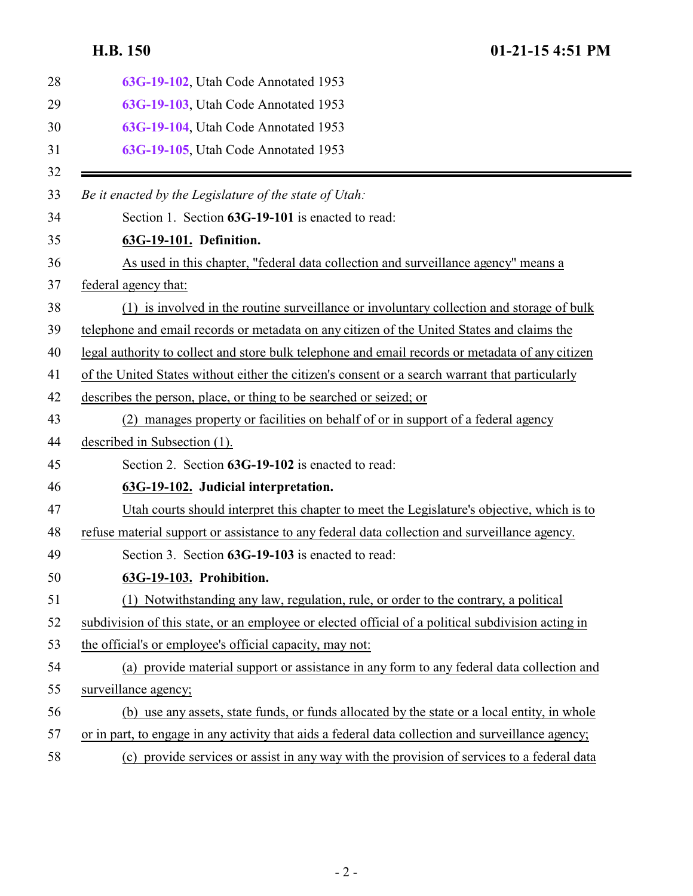<span id="page-1-2"></span><span id="page-1-1"></span><span id="page-1-0"></span>

| 28 | 63G-19-102, Utah Code Annotated 1953                                                               |
|----|----------------------------------------------------------------------------------------------------|
| 29 | 63G-19-103, Utah Code Annotated 1953                                                               |
| 30 | 63G-19-104, Utah Code Annotated 1953                                                               |
| 31 | 63G-19-105, Utah Code Annotated 1953                                                               |
| 32 |                                                                                                    |
| 33 | Be it enacted by the Legislature of the state of Utah:                                             |
| 34 | Section 1. Section 63G-19-101 is enacted to read:                                                  |
| 35 | 63G-19-101. Definition.                                                                            |
| 36 | As used in this chapter, "federal data collection and surveillance agency" means a                 |
| 37 | federal agency that:                                                                               |
| 38 | (1) is involved in the routine surveillance or involuntary collection and storage of bulk          |
| 39 | telephone and email records or metadata on any citizen of the United States and claims the         |
| 40 | legal authority to collect and store bulk telephone and email records or metadata of any citizen   |
| 41 | of the United States without either the citizen's consent or a search warrant that particularly    |
| 42 | describes the person, place, or thing to be searched or seized; or                                 |
| 43 | (2) manages property or facilities on behalf of or in support of a federal agency                  |
| 44 | described in Subsection (1).                                                                       |
| 45 | Section 2. Section 63G-19-102 is enacted to read:                                                  |
| 46 | 63G-19-102. Judicial interpretation.                                                               |
| 47 | Utah courts should interpret this chapter to meet the Legislature's objective, which is to         |
| 48 | refuse material support or assistance to any federal data collection and surveillance agency.      |
| 49 | Section 3. Section 63G-19-103 is enacted to read:                                                  |
| 50 | 63G-19-103. Prohibition.                                                                           |
| 51 | (1) Notwithstanding any law, regulation, rule, or order to the contrary, a political               |
| 52 | subdivision of this state, or an employee or elected official of a political subdivision acting in |
| 53 | the official's or employee's official capacity, may not:                                           |
| 54 | (a) provide material support or assistance in any form to any federal data collection and          |
| 55 | surveillance agency;                                                                               |
| 56 | (b) use any assets, state funds, or funds allocated by the state or a local entity, in whole       |
| 57 | or in part, to engage in any activity that aids a federal data collection and surveillance agency; |
| 58 | (c) provide services or assist in any way with the provision of services to a federal data         |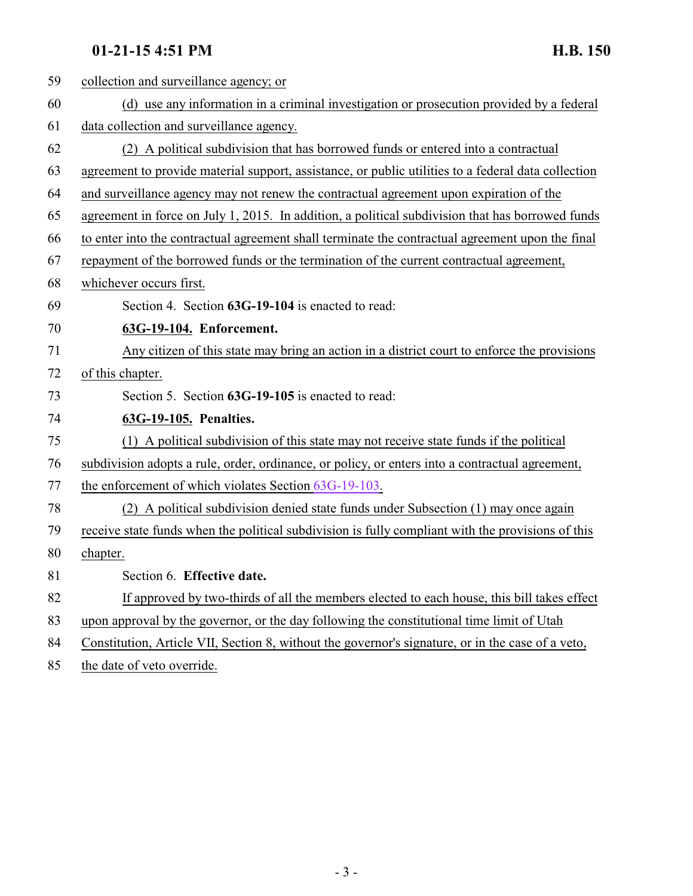## <span id="page-2-0"></span>**01-21-15 4:51 PM H.B. 150**

| 59 | collection and surveillance agency; or                                                              |
|----|-----------------------------------------------------------------------------------------------------|
| 60 | (d) use any information in a criminal investigation or prosecution provided by a federal            |
| 61 | data collection and surveillance agency.                                                            |
| 62 | (2) A political subdivision that has borrowed funds or entered into a contractual                   |
| 63 | agreement to provide material support, assistance, or public utilities to a federal data collection |
| 64 | and surveillance agency may not renew the contractual agreement upon expiration of the              |
| 65 | agreement in force on July 1, 2015. In addition, a political subdivision that has borrowed funds    |
| 66 | to enter into the contractual agreement shall terminate the contractual agreement upon the final    |
| 67 | repayment of the borrowed funds or the termination of the current contractual agreement,            |
| 68 | whichever occurs first.                                                                             |
| 69 | Section 4. Section 63G-19-104 is enacted to read:                                                   |
| 70 | 63G-19-104. Enforcement.                                                                            |
| 71 | Any citizen of this state may bring an action in a district court to enforce the provisions         |
| 72 | of this chapter.                                                                                    |
| 73 | Section 5. Section 63G-19-105 is enacted to read:                                                   |
| 74 | 63G-19-105. Penalties.                                                                              |
| 75 | (1) A political subdivision of this state may not receive state funds if the political              |
| 76 | subdivision adopts a rule, order, ordinance, or policy, or enters into a contractual agreement,     |
| 77 | the enforcement of which violates Section 63G-19-103.                                               |
| 78 | (2) A political subdivision denied state funds under Subsection (1) may once again                  |
| 79 | receive state funds when the political subdivision is fully compliant with the provisions of this   |
| 80 | chapter.                                                                                            |
| 81 | Section 6. Effective date.                                                                          |
| 82 | If approved by two-thirds of all the members elected to each house, this bill takes effect          |
| 83 | upon approval by the governor, or the day following the constitutional time limit of Utah           |
| 84 | Constitution, Article VII, Section 8, without the governor's signature, or in the case of a veto,   |
|    |                                                                                                     |

<span id="page-2-1"></span>85 the date of veto override.